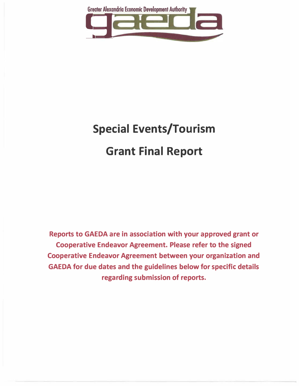

# **Special Events/Tourism Grant Final Report**

**Reports to GAEDA are in association with your approved grant or Cooperative Endeavor Agreement. Please refer to the signed Cooperative Endeavor Agreement between your organization and GAEDA for due dates and the guidelines below for specific details regarding submission of reports.**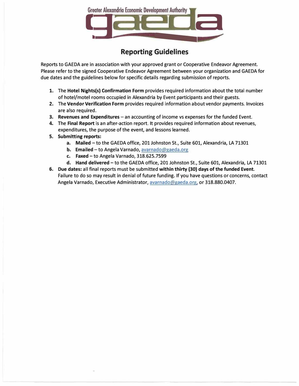

# **Reporting Guidelines**

**Reports to GAEDA are in association with your approved grant or Cooperative Endeavor Agreement. Please refer to the signed Cooperative Endeavor Agreement between your organization and GAEDA for due dates and the guidelines below for specific details regarding submission of reports.** 

- **1. The Hotel Nights(s) Confirmation Form provides required information about the total number of hotel/motel rooms occupied in Alexandria by Event participants and their guests.**
- **2. The Vendor Verification Form provides required information about vendor payments. Invoices are also required.**
- **3. Revenues and Expenditures - an accounting of income vs expenses for the funded Event.**
- **4. The Final Report is an after-action report. It provides required information about revenues, expenditures, the purpose of the event, and lessons learned.**
- **5. Submitting reports:**
	- **a. Mailed -to the GAEDA office, 201 Johnston St., Suite 601, Alexandria, LA 71301**
	- **b. Emailed- to Angela Varnado, avarnado@gaeda.org**
	- **c. Faxed-to Angela Varnado, 318.625.7599**
	- **d. Hand delivered -to the GAEDA office, 201 Johnston St., Suite 601, Alexandria, LA 71301**
- **6. Due dates: all final reports must be submitted within thirty (30) days of the funded Event. Failure to do so may result in denial of future funding. If you have questions or concerns, contact Angela Varnado, Executive Administrator, avarnado@gaeda.org, or 318.880.0407.**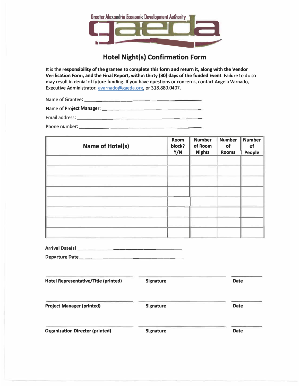

# **Hotel Night(s) Confirmation Form**

**It is the responsibility of the grantee to complete this form and return it, along with the Vendor Verification Form, and the Final Report, within thirty (30) days of the funded Event. Failure to do so may result in denial of future funding. If you have questions or concerns, contact Angela Varnado, Executive Administrator, avarnado@gaeda.org, or 318.880.0407.** 

**Name of Grantee: \_\_\_\_\_\_\_\_\_\_\_\_\_\_\_\_\_\_ \_** 

**Name of Project Manager: \_\_\_\_\_\_\_\_\_\_\_\_\_\_\_\_ \_** 

**Email address: \_\_\_\_\_\_\_ \_\_\_\_\_\_\_\_\_\_ \_\_ \_** 

**Phone number: \_\_\_\_\_\_\_\_\_\_\_\_\_\_\_\_\_ \_\_ \_** 

| <b>Room</b><br>block?<br>Y/N | <b>Number</b><br>of Room<br><b>Nights</b> | <b>Number</b><br>of<br><b>Rooms</b> | <b>Number</b><br>of<br>People |
|------------------------------|-------------------------------------------|-------------------------------------|-------------------------------|
|                              |                                           |                                     |                               |
|                              |                                           |                                     |                               |
|                              |                                           |                                     |                               |
|                              |                                           |                                     |                               |
|                              |                                           |                                     |                               |

| <b>Arrival Date(s)</b> |  |
|------------------------|--|
|------------------------|--|

Departure Date\_

| <b>Hotel Representative/Title (printed)</b> | <b>Signature</b> | <b>Date</b> |
|---------------------------------------------|------------------|-------------|
| <b>Project Manager (printed)</b>            | <b>Signature</b> | <b>Date</b> |
| <b>Organization Director (printed)</b>      | <b>Signature</b> | <b>Date</b> |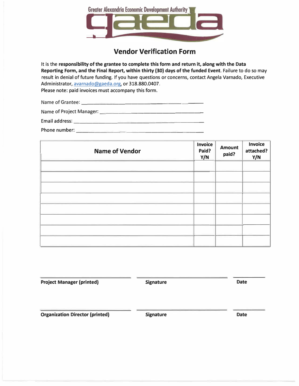

# **Vendor Verification Form**

It is the **responsibility of the grantee to complete this form and return it, along with the Data Reporting Form, and the Final Report, within thirty (30} days of the funded Event.** Failure to do so may result in denial of future funding. If you have questions or concerns, contact Angela Varnado, Executive Administrator, avarnado@gaeda.org, or 318.880.0407.

Please note: paid invoices must accompany this form.

| Name of Grantee:         |  |  |
|--------------------------|--|--|
| Name of Project Manager: |  |  |
| Email address:           |  |  |
| Phone number:            |  |  |

| <b>Name of Vendor</b> | <b>Invoice</b><br>Paid?<br>Y/N | <b>Amount</b><br>paid? | <b>Invoice</b><br>attached?<br>Y/N |
|-----------------------|--------------------------------|------------------------|------------------------------------|
|                       |                                |                        |                                    |
|                       |                                |                        |                                    |
|                       |                                |                        |                                    |
|                       |                                |                        |                                    |
|                       |                                |                        |                                    |
|                       |                                |                        |                                    |
|                       |                                |                        |                                    |
|                       |                                |                        |                                    |

**Project Manager (printed) Signature Signature Date Organization Director (printed) Signature Signature Construction Date**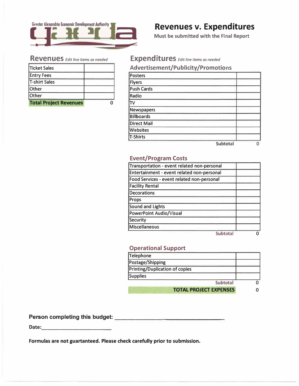

# **<sup>1</sup>**9 **Revenues v. Expenditures**

**Must be submitted with the Final Report** 

| Ticket Sales                  |  |
|-------------------------------|--|
| <b>Entry Fees</b>             |  |
| <b>T-shirt Sales</b>          |  |
| <b>Other</b>                  |  |
| Other                         |  |
| <b>Total Project Revenues</b> |  |

# **Revenues** *Editline itemsasneeded* **Expenditures** *Editlineitemsasneeded*

#### **Advertisement/Publicity /Promotions**

| Posters            |                 |  |
|--------------------|-----------------|--|
| <b>Flyers</b>      |                 |  |
| <b>Push Cards</b>  |                 |  |
| Radio              |                 |  |
| T <sub>V</sub>     |                 |  |
| Newspapers         |                 |  |
| <b>Billboards</b>  |                 |  |
| <b>Direct Mail</b> |                 |  |
| Websites           |                 |  |
| T-Shirts           |                 |  |
|                    | <b>Subtotal</b> |  |

#### **Event/Program Costs**

| Transportation - event related non-personal |  |
|---------------------------------------------|--|
| Entertainment - event related non-personal  |  |
| Food Services - event related non-personal  |  |
| <b>Facility Rental</b>                      |  |
| <b>Decorations</b>                          |  |
| Props                                       |  |
| <b>Sound and Lights</b>                     |  |
| <b>PowerPoint Audio/Visual</b>              |  |
| Security                                    |  |
| <b>Miscellaneous</b>                        |  |
| <b>Subtotal</b>                             |  |

### **Operational Support**

| Telephone                      |  |
|--------------------------------|--|
| Postage/Shipping               |  |
| Printing/Duplication of copies |  |
| Supplies                       |  |
| <b>Subtotal</b>                |  |
| <b>TOTAL PROJECT EXPENSES</b>  |  |

**Person completing this budget: \_\_\_\_\_\_\_\_\_\_\_\_\_\_\_ \_** 

**Date: \_\_\_\_\_\_\_\_\_\_ \_** 

**Formulas are not guartanteed. Please check carefully prior to submission.**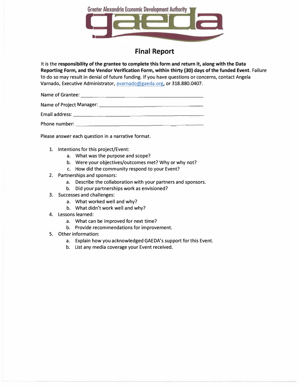

## **Final Report**

It is the **responsibility of the grantee to complete this form and return it, along with the Data Reporting Form, and the Vendor Verification Form, within thirty (30) days of the funded Event.** Failure to do so may result in denial of future funding. If you have questions or concerns, contact Angela Varnado, Executive Administrator, avarnado@gaeda.org, or 318.880.0407.

Name of Grantee:  $\qquad \qquad$ 

Name of Project Manager: \_\_\_\_\_\_\_\_\_\_\_\_\_\_\_\_ \_

Email address: \_\_\_\_\_\_\_\_\_\_\_\_\_\_\_\_\_\_\_\_ \_

Phone number: \_\_\_\_\_\_\_\_\_\_\_\_\_\_\_ \_\_\_ \_

Please answer each question in a narrative format.

- 1. Intentions for this project/Event:
	- a. What was the purpose and scope?
	- b. Were your objectives/outcomes met? Why or why not?
	- c. How did the community respond to your Event?
- 2. Partnerships and sponsors:
	- a. Describe the collaboration with your partners and sponsors.
	- b. Did your partnerships work as envisioned?
- 3. Successes and challenges:
	- a. What worked well and why?
	- b. What didn't work well and why?
- 4. Lessons learned:
	- a. What can be improved for next time?
	- b. Provide recommendations for improvement.
- 5. Other information:
	- a. Explain how you acknowledged GAEDA's support for this Event.
	- b. List any media coverage your Event received.